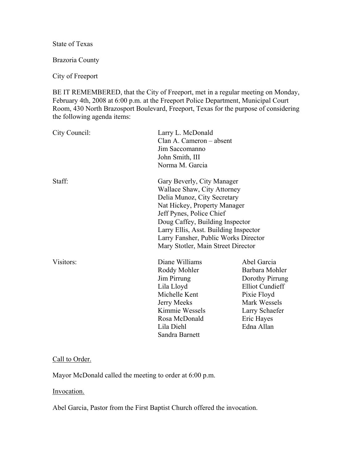State of Texas

Brazoria County

City of Freeport

BE IT REMEMBERED, that the City of Freeport, met in a regular meeting on Monday, February 4th, 2008 at 6:00 p.m. at the Freeport Police Department, Municipal Court Room, 430 North Brazosport Boulevard, Freeport, Texas for the purpose of considering the following agenda items:

| City Council: | Larry L. McDonald<br>Clan A. Cameron – absent<br>Jim Saccomanno<br>John Smith, III<br>Norma M. Garcia                                                                                                                                                                                                          |                                                                                                                                                         |
|---------------|----------------------------------------------------------------------------------------------------------------------------------------------------------------------------------------------------------------------------------------------------------------------------------------------------------------|---------------------------------------------------------------------------------------------------------------------------------------------------------|
| Staff:        | Gary Beverly, City Manager<br>Wallace Shaw, City Attorney<br>Delia Munoz, City Secretary<br>Nat Hickey, Property Manager<br>Jeff Pynes, Police Chief<br>Doug Caffey, Building Inspector<br>Larry Ellis, Asst. Building Inspector<br>Larry Fansher, Public Works Director<br>Mary Stotler, Main Street Director |                                                                                                                                                         |
| Visitors:     | Diane Williams<br>Roddy Mohler<br>Jim Pirrung<br>Lila Lloyd<br>Michelle Kent<br>Jerry Meeks<br>Kimmie Wessels<br>Rosa McDonald<br>Lila Diehl<br>Sandra Barnett                                                                                                                                                 | Abel Garcia<br>Barbara Mohler<br>Dorothy Pirrung<br><b>Elliot Cundieff</b><br>Pixie Floyd<br>Mark Wessels<br>Larry Schaefer<br>Eric Hayes<br>Edna Allan |

## Call to Order.

Mayor McDonald called the meeting to order at 6:00 p.m.

Invocation.

Abel Garcia, Pastor from the First Baptist Church offered the invocation.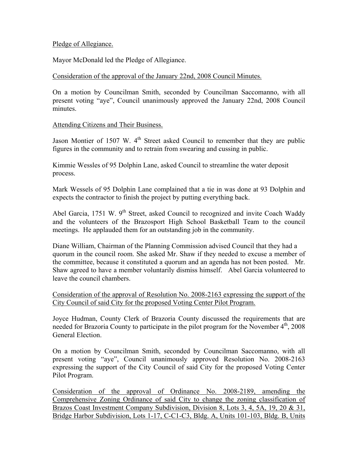# Pledge of Allegiance.

Mayor McDonald led the Pledge of Allegiance.

# Consideration of the approval of the January 22nd, 2008 Council Minutes.

On a motion by Councilman Smith, seconded by Councilman Saccomanno, with all present voting "aye", Council unanimously approved the January 22nd, 2008 Council minutes.

# Attending Citizens and Their Business.

Jason Montier of 1507 W.  $4<sup>th</sup>$  Street asked Council to remember that they are public figures in the community and to retrain from swearing and cussing in public.

Kimmie Wessles of 95 Dolphin Lane, asked Council to streamline the water deposit process.

Mark Wessels of 95 Dolphin Lane complained that a tie in was done at 93 Dolphin and expects the contractor to finish the project by putting everything back.

Abel Garcia, 1751 W.  $9<sup>th</sup>$  Street, asked Council to recognized and invite Coach Waddy and the volunteers of the Brazosport High School Basketball Team to the council meetings. He applauded them for an outstanding job in the community.

Diane William, Chairman of the Planning Commission advised Council that they had a quorum in the council room. She asked Mr. Shaw if they needed to excuse a member of the committee, because it constituted a quorum and an agenda has not been posted. Mr. Shaw agreed to have a member voluntarily dismiss himself. Abel Garcia volunteered to leave the council chambers.

Consideration of the approval of Resolution No. 2008-2163 expressing the support of the City Council of said City for the proposed Voting Center Pilot Program.

Joyce Hudman, County Clerk of Brazoria County discussed the requirements that are needed for Brazoria County to participate in the pilot program for the November  $4<sup>th</sup>$ , 2008 General Election.

On a motion by Councilman Smith, seconded by Councilman Saccomanno, with all present voting "aye", Council unanimously approved Resolution No. 2008-2163 expressing the support of the City Council of said City for the proposed Voting Center Pilot Program.

Consideration of the approval of Ordinance No. 2008-2189, amending the Comprehensive Zoning Ordinance of said City to change the zoning classification of Brazos Coast Investment Company Subdivision, Division 8, Lots 3, 4, 5A, 19, 20 & 31, Bridge Harbor Subdivision, Lots 1-17, C-C1-C3, Bldg. A, Units 101-103, Bldg. B, Units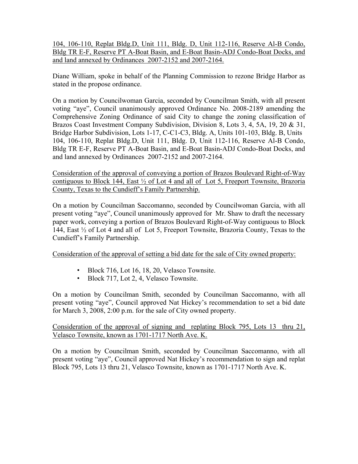104, 106-110, Replat Bldg.D, Unit 111, Bldg. D, Unit 112-116, Reserve Al-B Condo, Bldg TR E-F, Reserve PT A-Boat Basin, and E-Boat Basin-ADJ Condo-Boat Docks, and and land annexed by Ordinances 2007-2152 and 2007-2164.

Diane William, spoke in behalf of the Planning Commission to rezone Bridge Harbor as stated in the propose ordinance.

On a motion by Councilwoman Garcia, seconded by Councilman Smith, with all present voting "aye", Council unanimously approved Ordinance No. 2008-2189 amending the Comprehensive Zoning Ordinance of said City to change the zoning classification of Brazos Coast Investment Company Subdivision, Division 8, Lots 3, 4, 5A, 19, 20 & 31, Bridge Harbor Subdivision, Lots 1-17, C-C1-C3, Bldg. A, Units 101-103, Bldg. B, Units 104, 106-110, Replat Bldg.D, Unit 111, Bldg. D, Unit 112-116, Reserve Al-B Condo, Bldg TR E-F, Reserve PT A-Boat Basin, and E-Boat Basin-ADJ Condo-Boat Docks, and and land annexed by Ordinances 2007-2152 and 2007-2164.

Consideration of the approval of conveying a portion of Brazos Boulevard Right-of-Way contiguous to Block 144, East ½ of Lot 4 and all of Lot 5, Freeport Townsite, Brazoria County, Texas to the Cundieff's Family Partnership.

On a motion by Councilman Saccomanno, seconded by Councilwoman Garcia, with all present voting "aye", Council unanimously approved for Mr. Shaw to draft the necessary paper work, conveying a portion of Brazos Boulevard Right-of-Way contiguous to Block 144, East ½ of Lot 4 and all of Lot 5, Freeport Townsite, Brazoria County, Texas to the Cundieff's Family Partnership.

Consideration of the approval of setting a bid date for the sale of City owned property:

- Block 716, Lot 16, 18, 20, Velasco Townsite.
- Block 717, Lot 2, 4, Velasco Townsite.

On a motion by Councilman Smith, seconded by Councilman Saccomanno, with all present voting "aye", Council approved Nat Hickey's recommendation to set a bid date for March 3, 2008, 2:00 p.m. for the sale of City owned property.

# Consideration of the approval of signing and replating Block 795, Lots 13 thru 21, Velasco Townsite, known as 1701-1717 North Ave. K.

On a motion by Councilman Smith, seconded by Councilman Saccomanno, with all present voting "aye", Council approved Nat Hickey's recommendation to sign and replat Block 795, Lots 13 thru 21, Velasco Townsite, known as 1701-1717 North Ave. K.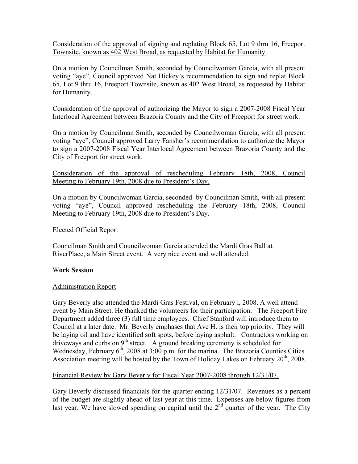Consideration of the approval of signing and replating Block 65, Lot 9 thru 16, Freeport Townsite, known as 402 West Broad, as requested by Habitat for Humanity.

On a motion by Councilman Smith, seconded by Councilwoman Garcia, with all present voting "aye", Council approved Nat Hickey's recommendation to sign and replat Block 65, Lot 9 thru 16, Freeport Townsite, known as 402 West Broad, as requested by Habitat for Humanity.

Consideration of the approval of authorizing the Mayor to sign a 2007-2008 Fiscal Year Interlocal Agreement between Brazoria County and the City of Freeport for street work.

On a motion by Councilman Smith, seconded by Councilwoman Garcia, with all present voting "aye", Council approved Larry Fansher's recommendation to authorize the Mayor to sign a 2007-2008 Fiscal Year Interlocal Agreement between Brazoria County and the City of Freeport for street work.

Consideration of the approval of rescheduling February 18th, 2008, Council Meeting to February 19th, 2008 due to President's Day.

On a motion by Councilwoman Garcia, seconded by Councilman Smith, with all present voting "aye", Council approved rescheduling the February 18th, 2008, Council Meeting to February 19th, 2008 due to President's Day.

## Elected Official Report

Councilman Smith and Councilwoman Garcia attended the Mardi Gras Ball at RiverPlace, a Main Street event. A very nice event and well attended.

## W**ork Session**

## Administration Report

Gary Beverly also attended the Mardi Gras Festival, on February l, 2008. A well attend event by Main Street. He thanked the volunteers for their participation. The Freeport Fire Department added three (3) full time employees. Chief Stanford will introduce them to Council at a later date. Mr. Beverly emphases that Ave H. is their top priority. They will be laying oil and have identified soft spots, before laying asphalt. Contractors working on driveways and curbs on  $9<sup>th</sup>$  street. A ground breaking ceremony is scheduled for Wednesday, February 6<sup>th</sup>, 2008 at 3:00 p.m. for the marina. The Brazoria Counties Cities Association meeting will be hosted by the Town of Holiday Lakes on February  $20<sup>th</sup>$ , 2008.

## Financial Review by Gary Beverly for Fiscal Year 2007-2008 through 12/31/07.

Gary Beverly discussed financials for the quarter ending 12/31/07. Revenues as a percent of the budget are slightly ahead of last year at this time. Expenses are below figures from last year. We have slowed spending on capital until the  $2<sup>nd</sup>$  quarter of the year. The City